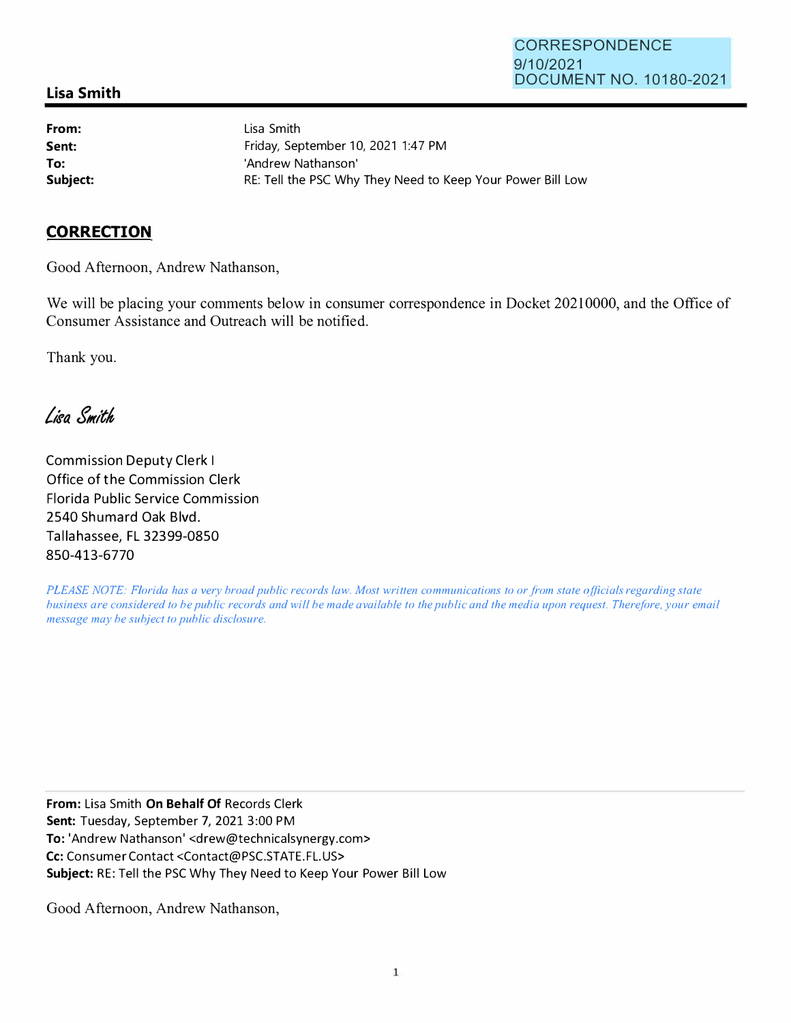## **Lisa Smith**

**From: Sent: To:** 

Lisa Smith Friday, September 10, 2021 1:47 PM 'Andrew Nathanson' **Subject: RE: Tell the PSC Why They Need to Keep Your Power Bill Low** 

## **CORRECTION**

Good Afternoon, Andrew Nathanson,

We will be placing your comments below in consumer correspondence in Docket 20210000, and the Office of Consumer Assistance and Outreach will be notified.

Thank you.

Lisa Smith

Commission Deputy Clerk I Office of the Commission Clerk Florida Public Service Commission 2540 Shumard Oak Blvd. Tallahassee, FL 32399-0850 **850-413-6770**

*PLEASE NOTE: Florida has a very broad public records law. Most written communications to or from state officials regarding state business are considered to be public records and will be made available to the public and the media upon request. Therefore, your email message may be subject to public disclosure.* 

**From:** Lisa Smith **On Behalf Of** Records Clerk **Sent:** Tuesday, September 7, 2021 3:00 PM **To:** 'Andrew Nathanson' <drew@technicalsynergy.com> Cc: Consumer Contact <Contact@PSC.STATE.FL.US> **Subject:** RE: Tell the PSC Why They Need to Keep Your Power Bill Low

Good Afternoon, Andrew Nathanson,